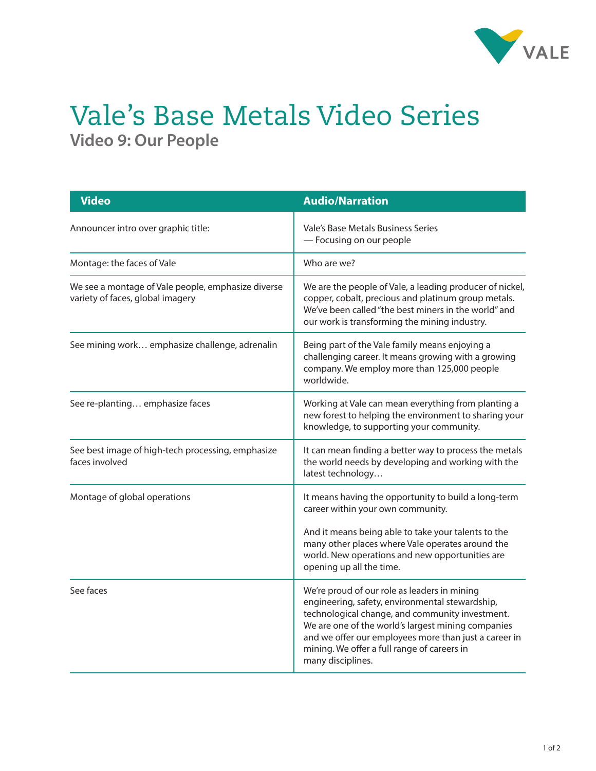

## Vale's Base Metals Video Series **Video 9: Our People**

| <b>Video</b>                                                                           | <b>Audio/Narration</b>                                                                                                                                                                                                                                                                                                                |
|----------------------------------------------------------------------------------------|---------------------------------------------------------------------------------------------------------------------------------------------------------------------------------------------------------------------------------------------------------------------------------------------------------------------------------------|
| Announcer intro over graphic title:                                                    | Vale's Base Metals Business Series<br>- Focusing on our people                                                                                                                                                                                                                                                                        |
| Montage: the faces of Vale                                                             | Who are we?                                                                                                                                                                                                                                                                                                                           |
| We see a montage of Vale people, emphasize diverse<br>variety of faces, global imagery | We are the people of Vale, a leading producer of nickel,<br>copper, cobalt, precious and platinum group metals.<br>We've been called "the best miners in the world" and<br>our work is transforming the mining industry.                                                                                                              |
| See mining work emphasize challenge, adrenalin                                         | Being part of the Vale family means enjoying a<br>challenging career. It means growing with a growing<br>company. We employ more than 125,000 people<br>worldwide.                                                                                                                                                                    |
| See re-planting emphasize faces                                                        | Working at Vale can mean everything from planting a<br>new forest to helping the environment to sharing your<br>knowledge, to supporting your community.                                                                                                                                                                              |
| See best image of high-tech processing, emphasize<br>faces involved                    | It can mean finding a better way to process the metals<br>the world needs by developing and working with the<br>latest technology                                                                                                                                                                                                     |
| Montage of global operations                                                           | It means having the opportunity to build a long-term<br>career within your own community.<br>And it means being able to take your talents to the<br>many other places where Vale operates around the<br>world. New operations and new opportunities are<br>opening up all the time.                                                   |
| See faces                                                                              | We're proud of our role as leaders in mining<br>engineering, safety, environmental stewardship,<br>technological change, and community investment.<br>We are one of the world's largest mining companies<br>and we offer our employees more than just a career in<br>mining. We offer a full range of careers in<br>many disciplines. |